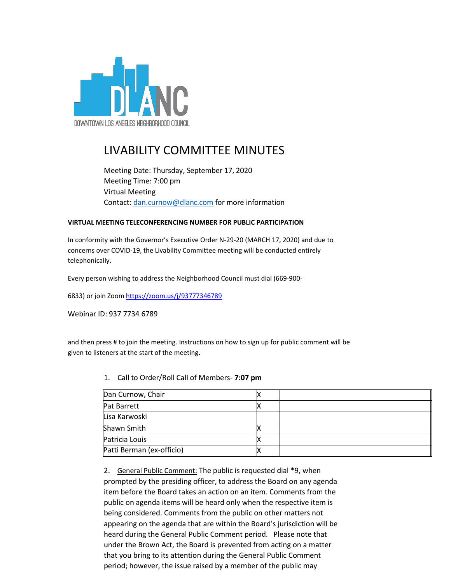

## LIVABILITY COMMITTEE MINUTES

Meeting Date: Thursday, September 17, 2020 Meeting Time: 7:00 pm Virtual Meeting Contact: [dan.curnow@dlanc.com](mailto:dan.curnow@dlanc.com) for more information

## **VIRTUAL MEETING TELECONFERENCING NUMBER FOR PUBLIC PARTICIPATION**

In conformity with the Governor's Executive Order N-29-20 (MARCH 17, 2020) and due to concerns over COVID-19, the Livability Committee meeting will be conducted entirely telephonically.

Every person wishing to address the Neighborhood Council must dial (669-900-

6833) or join Zoom https://zoom.us/j/93777346789

Webinar ID: 937 7734 6789

and then press # to join the meeting. Instructions on how to sign up for public comment will be given to listeners at the start of the meeting**.**

|  | 1. Call to Order/Roll Call of Members- 7:07 pm |  |
|--|------------------------------------------------|--|
|--|------------------------------------------------|--|

| Dan Curnow, Chair         |  |
|---------------------------|--|
| <b>Pat Barrett</b>        |  |
| Lisa Karwoski             |  |
| Shawn Smith               |  |
| Patricia Louis            |  |
| Patti Berman (ex-officio) |  |

2. General Public Comment: The public is requested dial \*9, when prompted by the presiding officer, to address the Board on any agenda item before the Board takes an action on an item. Comments from the public on agenda items will be heard only when the respective item is being considered. Comments from the public on other matters not appearing on the agenda that are within the Board's jurisdiction will be heard during the General Public Comment period. Please note that under the Brown Act, the Board is prevented from acting on a matter that you bring to its attention during the General Public Comment period; however, the issue raised by a member of the public may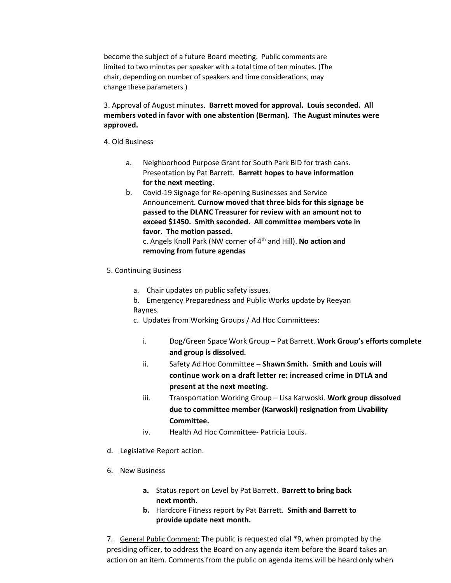become the subject of a future Board meeting. Public comments are limited to two minutes per speaker with a total time of ten minutes. (The chair, depending on number of speakers and time considerations, may change these parameters.)

3. Approval of August minutes. **Barrett moved for approval. Louis seconded. All members voted in favor with one abstention (Berman). The August minutes were approved.**

4. Old Business

- a. Neighborhood Purpose Grant for South Park BID for trash cans. Presentation by Pat Barrett. **Barrett hopes to have information for the next meeting.**
- b. Covid-19 Signage for Re-opening Businesses and Service Announcement. **Curnow moved that three bids for this signage be passed to the DLANC Treasurer for review with an amount not to exceed \$1450. Smith seconded. All committee members vote in favor. The motion passed.**

c. Angels Knoll Park (NW corner of 4th and Hill). **No action and removing from future agendas**

- 5. Continuing Business
	- a. Chair updates on public safety issues.
	- b. Emergency Preparedness and Public Works update by Reeyan Raynes.
	- c. Updates from Working Groups / Ad Hoc Committees:
		- i. Dog/Green Space Work Group Pat Barrett. **Work Group's efforts complete and group is dissolved.**
		- ii. Safety Ad Hoc Committee **Shawn Smith. Smith and Louis will continue work on a draft letter re: increased crime in DTLA and present at the next meeting.**
		- iii. Transportation Working Group Lisa Karwoski. **Work group dissolved due to committee member (Karwoski) resignation from Livability Committee.**
		- iv. Health Ad Hoc Committee- Patricia Louis.
- d. Legislative Report action.
- 6. New Business
	- **a.** Status report on Level by Pat Barrett. **Barrett to bring back next month.**
	- **b.** Hardcore Fitness report by Pat Barrett. **Smith and Barrett to provide update next month.**

7. General Public Comment: The public is requested dial \*9, when prompted by the presiding officer, to address the Board on any agenda item before the Board takes an action on an item. Comments from the public on agenda items will be heard only when